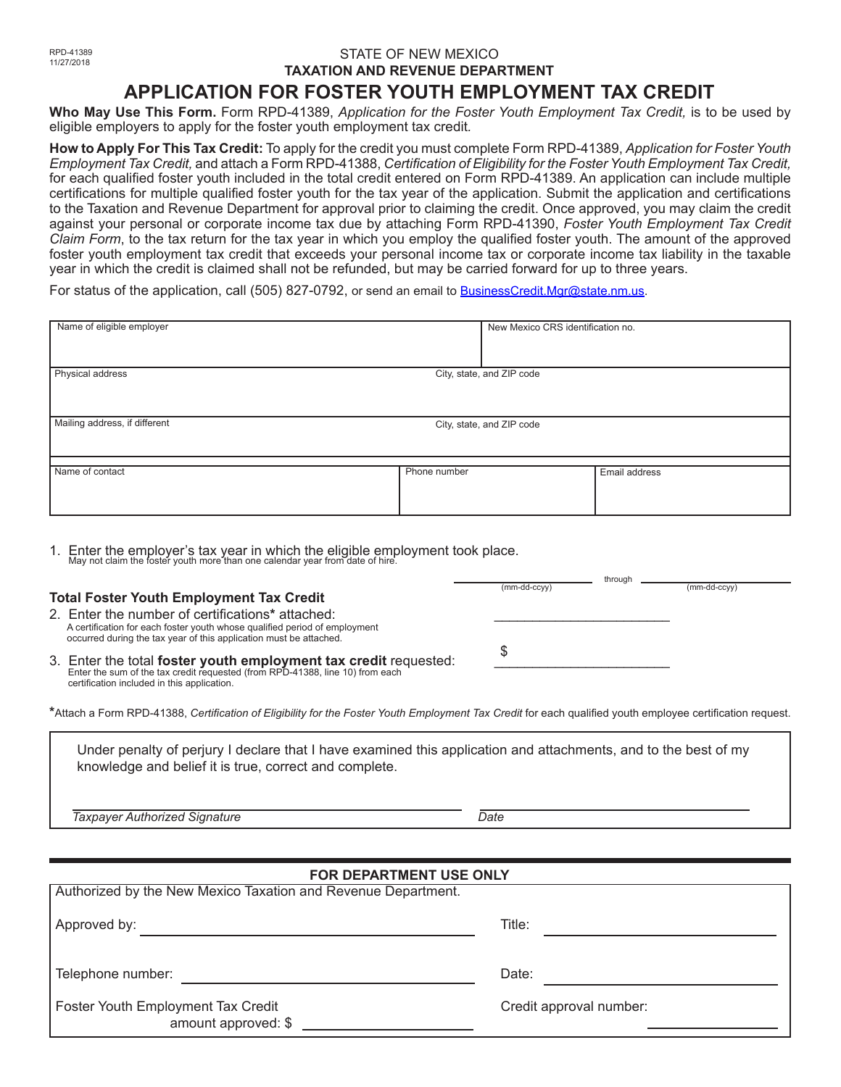### STATE OF NEW MEXICO **TAXATION AND REVENUE DEPARTMENT APPLICATION FOR FOSTER YOUTH EMPLOYMENT TAX CREDIT**

**Who May Use This Form.** Form RPD-41389, *Application for the Foster Youth Employment Tax Credit,* is to be used by eligible employers to apply for the foster youth employment tax credit*.*

**How to Apply For This Tax Credit:** To apply for the credit you must complete Form RPD-41389, *Application for Foster Youth Employment Tax Credit,* and attach a Form RPD-41388, *Certification of Eligibility for the Foster Youth Employment Tax Credit,*  for each qualified foster youth included in the total credit entered on Form RPD-41389. An application can include multiple certifications for multiple qualified foster youth for the tax year of the application. Submit the application and certifications to the Taxation and Revenue Department for approval prior to claiming the credit. Once approved, you may claim the credit against your personal or corporate income tax due by attaching Form RPD-41390, *Foster Youth Employment Tax Credit Claim Form*, to the tax return for the tax year in which you employ the qualified foster youth. The amount of the approved foster youth employment tax credit that exceeds your personal income tax or corporate income tax liability in the taxable year in which the credit is claimed shall not be refunded, but may be carried forward for up to three years.

For status of the application, call (505) 827-0792, or send an email to BusinessCredit.Mgr@state.nm.us.

| Name of eligible employer                     |                           | New Mexico CRS identification no. |               |  |  |
|-----------------------------------------------|---------------------------|-----------------------------------|---------------|--|--|
| Physical address<br>City, state, and ZIP code |                           |                                   |               |  |  |
| Mailing address, if different                 | City, state, and ZIP code |                                   |               |  |  |
| Name of contact                               | Phone number              |                                   | Email address |  |  |

1. Enter the employer's tax year in which the eligible employment took place. May not claim the foster youth more than one calendar year from date of hire.

|                                                                                                                                                                                                      |                | uliough |                |
|------------------------------------------------------------------------------------------------------------------------------------------------------------------------------------------------------|----------------|---------|----------------|
|                                                                                                                                                                                                      | $(mm-dd-ccvv)$ |         | $(mm-dd-ccyv)$ |
| <b>Total Foster Youth Employment Tax Credit</b>                                                                                                                                                      |                |         |                |
| 2. Enter the number of certifications* attached:<br>A certification for each foster youth whose qualified period of employment<br>occurred during the tax year of this application must be attached. |                |         |                |
| 3. Enter the total foster youth employment tax credit requested:<br>Enter the sum of the tax credit requested (from RPD-41388, line 10) from each                                                    |                |         |                |

**\***Attach a Form RPD-41388, *Certification of Eligibility for the Foster Youth Employment Tax Credit* for each qualified youth employee certification request.

Under penalty of perjury I declare that I have examined this application and attachments, and to the best of my knowledge and belief it is true, correct and complete.

*Taxpayer Authorized Signature* Date Date Date Date

certification included in this application.

through

| FOR DEPARTMENT USE ONLY                                       |                         |  |  |  |  |  |
|---------------------------------------------------------------|-------------------------|--|--|--|--|--|
| Authorized by the New Mexico Taxation and Revenue Department. |                         |  |  |  |  |  |
| Approved by:                                                  | Title:                  |  |  |  |  |  |
| Telephone number:                                             | Date:                   |  |  |  |  |  |
| Foster Youth Employment Tax Credit<br>amount approved: \$     | Credit approval number: |  |  |  |  |  |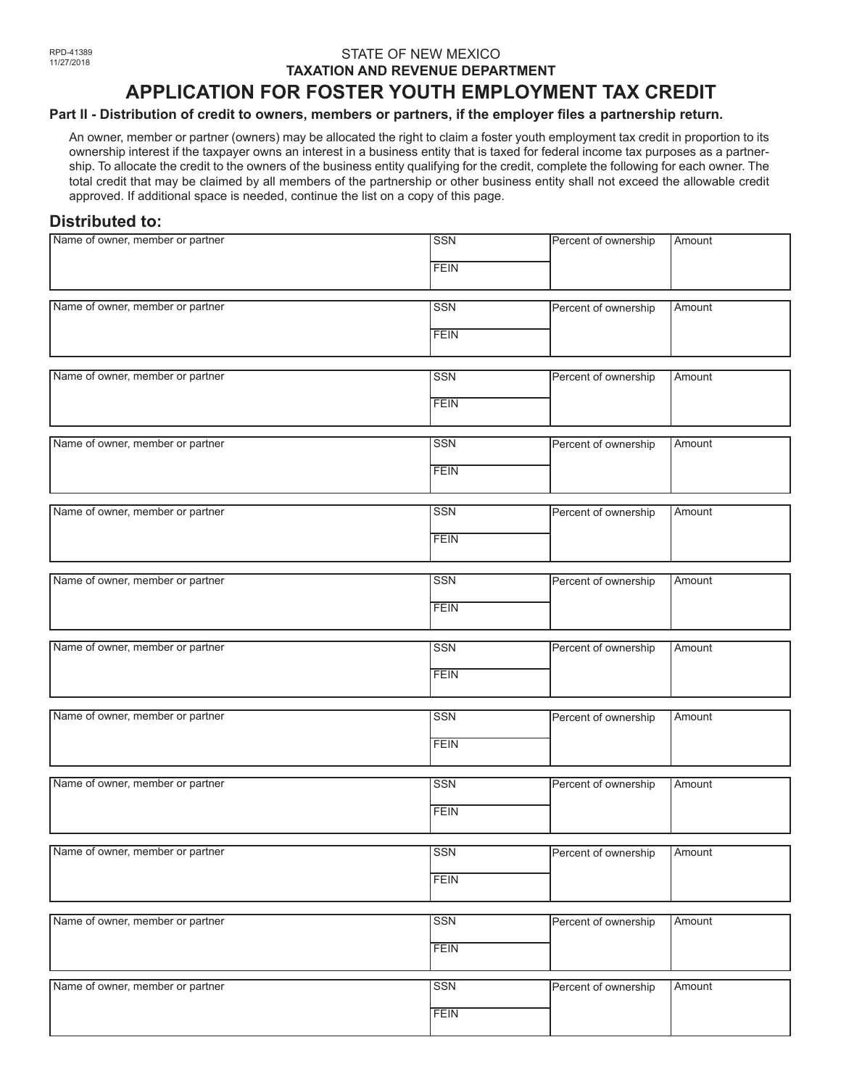#### STATE OF NEW MEXICO **TAXATION AND REVENUE DEPARTMENT**

# **APPLICATION FOR FOSTER YOUTH EMPLOYMENT TAX CREDIT**

#### **Part II - Distribution of credit to owners, members or partners, if the employer files a partnership return.**

An owner, member or partner (owners) may be allocated the right to claim a foster youth employment tax credit in proportion to its ownership interest if the taxpayer owns an interest in a business entity that is taxed for federal income tax purposes as a partnership. To allocate the credit to the owners of the business entity qualifying for the credit, complete the following for each owner. The total credit that may be claimed by all members of the partnership or other business entity shall not exceed the allowable credit approved. If additional space is needed, continue the list on a copy of this page.

## **Distributed to:**

| Name of owner, member or partner | <b>SSN</b>       | Percent of ownership | Amount |
|----------------------------------|------------------|----------------------|--------|
|                                  | <b>FEIN</b>      |                      |        |
|                                  |                  |                      |        |
| Name of owner, member or partner | $\overline{SSN}$ | Percent of ownership | Amount |
|                                  | <b>FEIN</b>      |                      |        |
|                                  |                  |                      |        |
| Name of owner, member or partner | <b>SSN</b>       | Percent of ownership | Amount |
|                                  | <b>FEIN</b>      |                      |        |
|                                  |                  |                      |        |
| Name of owner, member or partner | <b>SSN</b>       | Percent of ownership | Amount |
|                                  | <b>FEIN</b>      |                      |        |
| Name of owner, member or partner | <b>SSN</b>       | Percent of ownership | Amount |
|                                  | <b>FEIN</b>      |                      |        |
|                                  |                  |                      |        |
| Name of owner, member or partner | <b>SSN</b>       | Percent of ownership | Amount |
|                                  |                  |                      |        |
|                                  | <b>FEIN</b>      |                      |        |
|                                  |                  |                      |        |
| Name of owner, member or partner | <b>SSN</b>       | Percent of ownership | Amount |
|                                  | <b>FEIN</b>      |                      |        |
|                                  |                  |                      |        |
| Name of owner, member or partner | <b>SSN</b>       | Percent of ownership | Amount |
|                                  | <b>FEIN</b>      |                      |        |
|                                  |                  |                      |        |
| Name of owner, member or partner | <b>SSN</b>       | Percent of ownership | Amount |
|                                  | <b>FEIN</b>      |                      |        |
|                                  |                  |                      |        |
| Name of owner, member or partner | <b>SSN</b>       | Percent of ownership | Amount |
|                                  |                  |                      |        |
|                                  | <b>FEIN</b>      |                      |        |
| Name of owner, member or partner | <b>SSN</b>       | Percent of ownership | Amount |
|                                  |                  |                      |        |
|                                  | <b>FEIN</b>      |                      |        |
| Name of owner, member or partner | $\overline{SSN}$ | Percent of ownership | Amount |
|                                  |                  |                      |        |
|                                  | <b>FEIN</b>      |                      |        |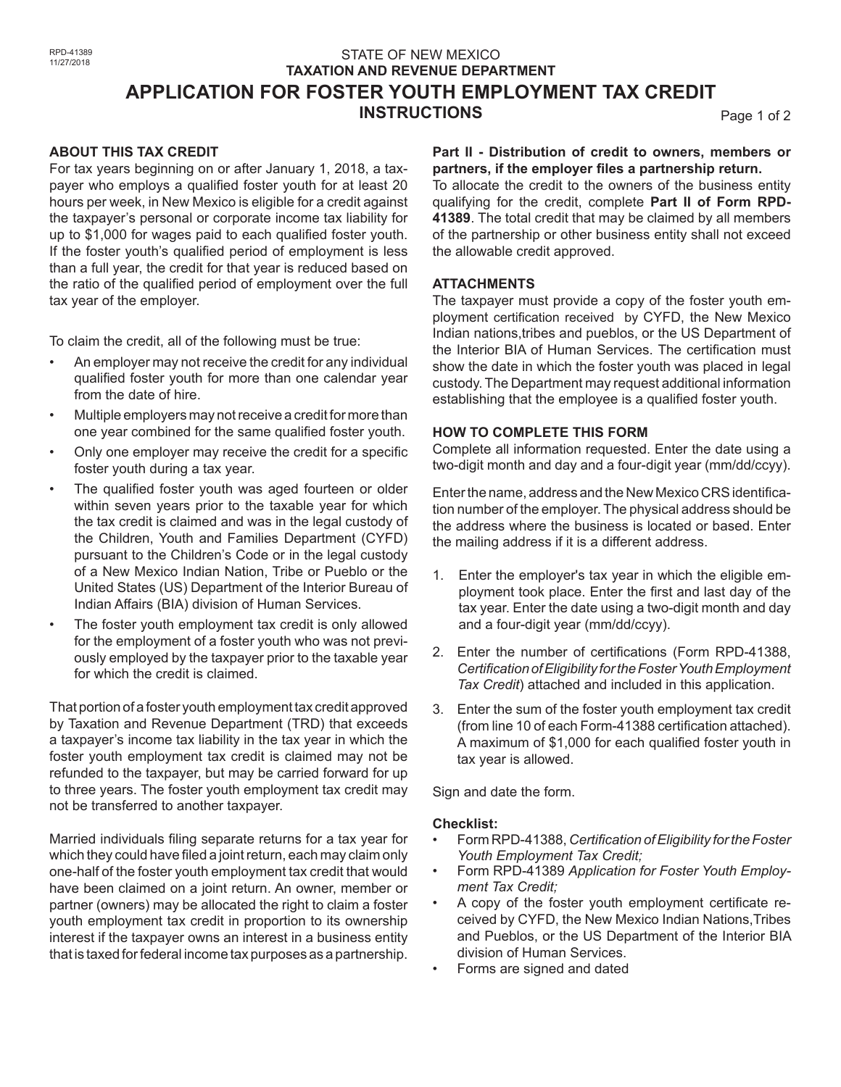## STATE OF NEW MEXICO **TAXATION AND REVENUE DEPARTMENT APPLICATION FOR FOSTER YOUTH EMPLOYMENT TAX CREDIT INSTRUCTIONS** Page 1 of 2

#### **ABOUT THIS TAX CREDIT**

For tax years beginning on or after January 1, 2018, a taxpayer who employs a qualified foster youth for at least 20 hours per week, in New Mexico is eligible for a credit against the taxpayer's personal or corporate income tax liability for up to \$1,000 for wages paid to each qualified foster youth. If the foster youth's qualified period of employment is less than a full year, the credit for that year is reduced based on the ratio of the qualified period of employment over the full tax year of the employer.

To claim the credit, all of the following must be true:

- An employer may not receive the credit for any individual qualified foster youth for more than one calendar year from the date of hire.
- Multiple employers may not receive a credit for more than one year combined for the same qualified foster youth.
- Only one employer may receive the credit for a specific foster youth during a tax year.
- The qualified foster youth was aged fourteen or older within seven years prior to the taxable year for which the tax credit is claimed and was in the legal custody of the Children, Youth and Families Department (CYFD) pursuant to the Children's Code or in the legal custody of a New Mexico Indian Nation, Tribe or Pueblo or the United States (US) Department of the Interior Bureau of Indian Affairs (BIA) division of Human Services.
- The foster youth employment tax credit is only allowed for the employment of a foster youth who was not previously employed by the taxpayer prior to the taxable year for which the credit is claimed.

That portion of a foster youth employment tax credit approved by Taxation and Revenue Department (TRD) that exceeds a taxpayer's income tax liability in the tax year in which the foster youth employment tax credit is claimed may not be refunded to the taxpayer, but may be carried forward for up to three years. The foster youth employment tax credit may not be transferred to another taxpayer.

Married individuals filing separate returns for a tax year for which they could have filed a joint return, each may claim only one-half of the foster youth employment tax credit that would have been claimed on a joint return. An owner, member or partner (owners) may be allocated the right to claim a foster youth employment tax credit in proportion to its ownership interest if the taxpayer owns an interest in a business entity that is taxed for federal income tax purposes as a partnership.

**Part II - Distribution of credit to owners, members or partners, if the employer files a partnership return.**

To allocate the credit to the owners of the business entity qualifying for the credit, complete **Part II of Form RPD-41389**. The total credit that may be claimed by all members of the partnership or other business entity shall not exceed the allowable credit approved.

#### **ATTACHMENTS**

The taxpayer must provide a copy of the foster youth employment certification received by CYFD, the New Mexico Indian nations,tribes and pueblos, or the US Department of the Interior BIA of Human Services. The certification must show the date in which the foster youth was placed in legal custody. The Department may request additional information establishing that the employee is a qualified foster youth.

#### **HOW TO COMPLETE THIS FORM**

Complete all information requested. Enter the date using a two-digit month and day and a four-digit year (mm/dd/ccyy).

Enter the name, address and the New Mexico CRS identification number of the employer. The physical address should be the address where the business is located or based. Enter the mailing address if it is a different address.

- 1. Enter the employer's tax year in which the eligible employment took place. Enter the first and last day of the tax year. Enter the date using a two-digit month and day and a four-digit year (mm/dd/ccyy).
- 2. Enter the number of certifications (Form RPD-41388, *Certification of Eligibility for the Foster Youth Employment Tax Credit*) attached and included in this application.
- 3. Enter the sum of the foster youth employment tax credit (from line 10 of each Form-41388 certification attached). A maximum of \$1,000 for each qualified foster youth in tax year is allowed.

Sign and date the form.

#### **Checklist:**

- Form RPD-41388, *Certification of Eligibility for the Foster Youth Employment Tax Credit;*
- Form RPD-41389 *Application for Foster Youth Employment Tax Credit;*
- A copy of the foster youth employment certificate received by CYFD, the New Mexico Indian Nations,Tribes and Pueblos, or the US Department of the Interior BIA division of Human Services.
- Forms are signed and dated